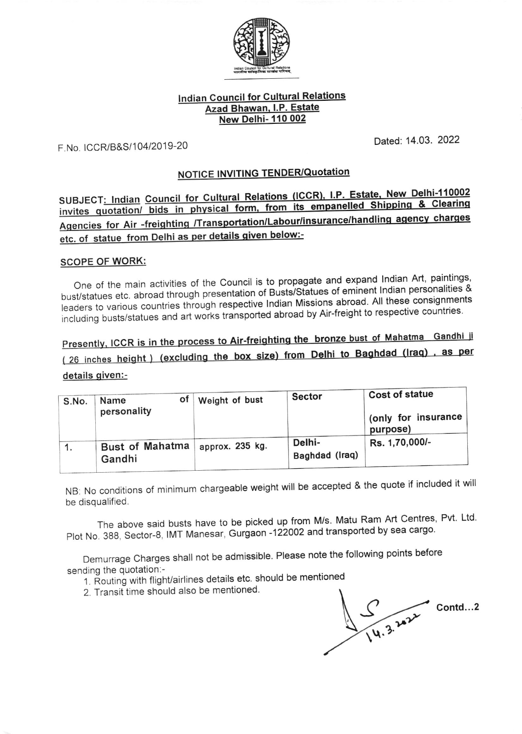

## **Indian Council for Cultural Relations** Azad Bhawan, I.P. Estate **New Delhi-110 002**

F.No. ICCR/B&S/104/2019-20

Dated: 14.03. 2022

# NOTICE INVITING TENDER/Quotation

SUBJECT: Indian Council for Cultural Relations (ICCR), I.P. Estate, New Delhi-110002 invites quotation/ bids in physical form, from its empanelled Shipping & Clearing Agencies for Air -freighting /Transportation/Labour/insurance/handling agency charges etc. of statue from Delhi as per details given below:-

#### **SCOPE OF WORK:**

One of the main activities of the Council is to propagate and expand Indian Art, paintings, bust/statues etc. abroad through presentation of Busts/Statues of eminent Indian personalities & leaders to various countries through respective Indian Missions abroad. All these consignments including busts/statues and art works transported abroad by Air-freight to respective countries.

Presently, ICCR is in the process to Air-freighting the bronze bust of Mahatma Gandhi ji

(26 inches height) (excluding the box size) from Delhi to Baghdad (Iraq), as per

## details given:-

| S.No. | оt<br>Name<br>personality        | Weight of bust  | <b>Sector</b>            | <b>Cost of statue</b><br>(only for insurance<br>purpose) |  |  |
|-------|----------------------------------|-----------------|--------------------------|----------------------------------------------------------|--|--|
|       | <b>Bust of Mahatma</b><br>Gandhi | approx. 235 kg. | Delhi-<br>Baghdad (Iraq) | Rs. 1,70,000/-                                           |  |  |

NB: No conditions of minimum chargeable weight will be accepted & the quote if included it will be disqualified.

The above said busts have to be picked up from M/s. Matu Ram Art Centres, Pvt. Ltd. Plot No. 388, Sector-8, IMT Manesar, Gurgaon -122002 and transported by sea cargo.

Demurrage Charges shall not be admissible. Please note the following points before sending the quotation:-

- 1. Routing with flight/airlines details etc. should be mentioned
- 2. Transit time should also be mentioned.

 $\frac{1}{14.3.202}$ Contd...2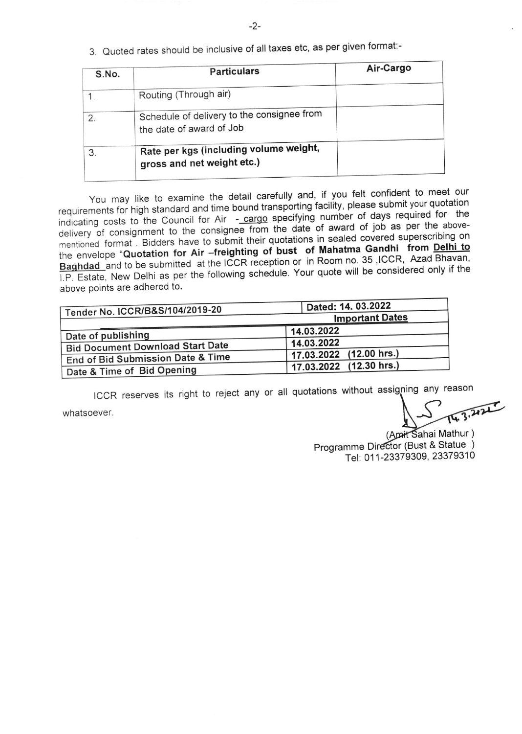3. Quoted rates should be inclusive of all taxes etc, as per given format:-

| S.No. | <b>Particulars</b>                                                     | Air-Cargo |
|-------|------------------------------------------------------------------------|-----------|
|       | Routing (Through air)                                                  |           |
|       | Schedule of delivery to the consignee from<br>the date of award of Job |           |
| 3.    | Rate per kgs (including volume weight,<br>gross and net weight etc.)   |           |
|       |                                                                        |           |

above points are adhered to. You may like to examine the detail carefully and, if you felt confident to meet our requirements for high standard and time bound transporting facility, please submit your quotation indicating costs to the Council for Air - cargo specifying number of days required for the delivery of consignment to the consignee from the date of award of job as per the abovementioned format. Bidders have to submit their quotations in sealed covered superscribing on the envelope "Quotation for Air -freighting of bust of Mahatma Gandhi from Delhi to Baghdad and to be submitted at the ICCR reception or in Room no. 35, ICCR, Azad Bhavan, I.P. Estate, New Delhi as per the following schedule. Your quote will be considered only if the

| Tender No. ICCR/B&S/104/2019-20         | Dated: 14. 03.2022<br><b>Important Dates</b> |  |  |  |  |
|-----------------------------------------|----------------------------------------------|--|--|--|--|
|                                         |                                              |  |  |  |  |
| Date of publishing                      | 14.03.2022                                   |  |  |  |  |
| <b>Bid Document Download Start Date</b> | 14.03.2022                                   |  |  |  |  |
| End of Bid Submission Date & Time       | 17.03.2022 (12.00 hrs.)                      |  |  |  |  |
| Date & Time of Bid Opening              | 17.03.2022 (12.30 hrs.)                      |  |  |  |  |

ICCR reserves its right to reject any or all quotations without assigning any reason

whatsoever.

(Apait Sahai Mathur) Programme Director (Bust & Statue ) Tel: 011-23379309, 23379310